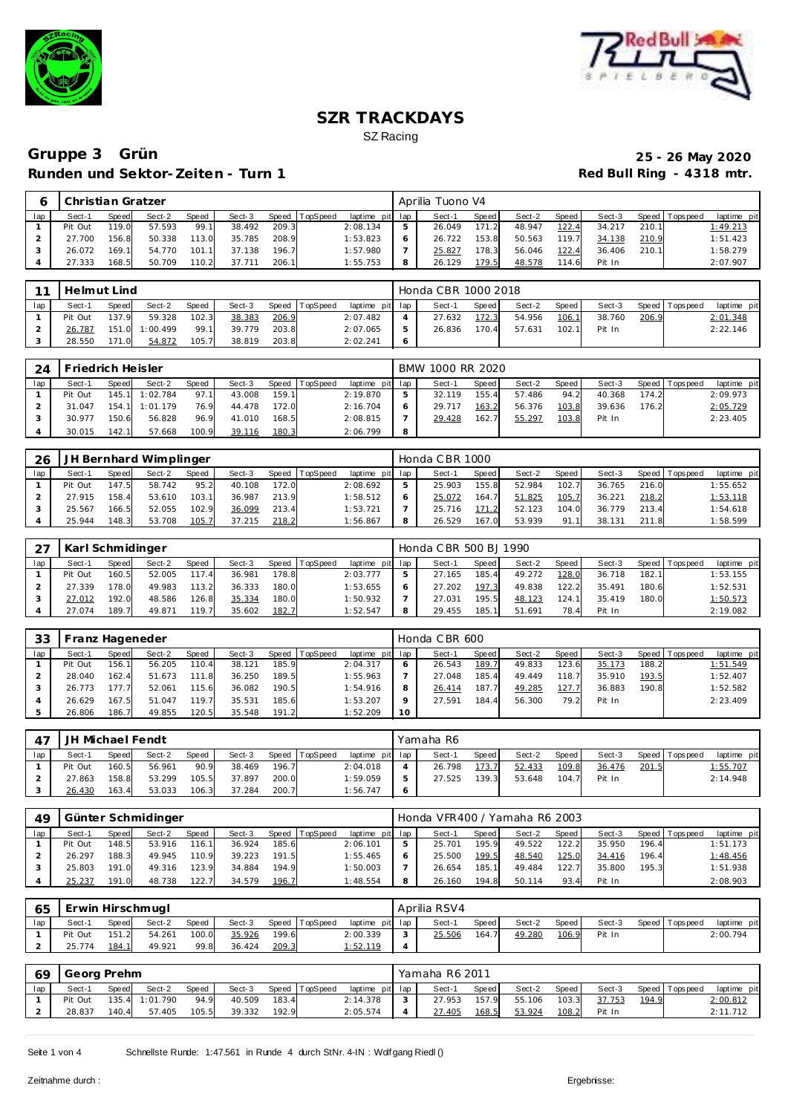



|     | Christian Gratzer |       |        |       |        |       |                |                 | Aprilia Tuono V4 |       |        |       |        |       |                |             |
|-----|-------------------|-------|--------|-------|--------|-------|----------------|-----------------|------------------|-------|--------|-------|--------|-------|----------------|-------------|
| lap | Sect-1            | Speed | Sect-2 | Speed | Sect-3 |       | Speed TopSpeed | laptime pit lap | Sect-1           | Speed | Sect-2 | Speed | Sect-3 |       | Speed Topspeed | laptime pit |
|     | Pit Out           | 119.0 | 57.593 | 99.1  | 38.492 | 209.3 |                | 2:08.134        | 26.049           | 171.2 | 48.947 | 122.4 | 34.217 | 210.1 |                | 1:49.213    |
|     | 27.700            | 156.8 | 50.338 | 113.0 | 35.785 | 208.9 |                | 1:53.823        | 26.722           | 153.8 | 50.563 | 119.7 | 34.138 | 210.9 |                | 1:51.423    |
|     | 26.072            | 169.1 | 54.770 | 101.1 | 37.138 | 196.7 |                | 1:57.980        | 25.827           | 178.3 | 56.046 | 122.4 | 36.406 | 210.1 |                | 1:58.279    |
|     | 27.333            | 168.5 | 50.709 | 110.2 | 37.711 | 206.1 |                | 1:55.753        | 26.129           | 179.5 | 48.578 | 114.6 | Pit In |       |                | 2:07.907    |

|     | Helmut Lind |       |                |       |        |       |                |                 | Honda CBR 1000 2018 |       |        |       |        |       |                   |             |
|-----|-------------|-------|----------------|-------|--------|-------|----------------|-----------------|---------------------|-------|--------|-------|--------|-------|-------------------|-------------|
| lap | Sect-1      | Speed | Sect-2         | Speed | Sect-3 |       | Speed TopSpeed | laptime pit lap | Sect-1              | Speed | Sect-2 | Speed | Sect-3 |       | Speed   Tops peed | laptime pit |
|     | Pit Out     | 137.9 | 59.328         | 102.3 | 38.383 | 206.9 |                | 2:07.482        | 27.632              | 172.3 | 54.956 | 106.1 | 38.760 | 206.9 |                   | 2:01.348    |
|     | 26.787      |       | 151.0 1:00.499 | 99.1  | 39.779 | 203.8 |                | 2:07.065        | 26.836              | 170.4 | 57.631 | 102.1 | Pit In |       |                   | 2:22.146    |
|     | 28.550      | 171.0 | 54.872         | 105.7 | 38.819 | 203.8 |                | 2:02.241        |                     |       |        |       |        |       |                   |             |

| 24  |         | Friedrich Heisler<br>Speed TopSpeed<br>Sect-2<br>Speed<br>Sect-3<br>Speed<br>Sect-1<br>1:02.784<br>159.1<br>145.1<br>97.1<br>43.008 |          |       |        |       |  |                 |   | BMW 1000 RR 2020 |       |        |       |        |       |                |             |
|-----|---------|-------------------------------------------------------------------------------------------------------------------------------------|----------|-------|--------|-------|--|-----------------|---|------------------|-------|--------|-------|--------|-------|----------------|-------------|
| lap |         |                                                                                                                                     |          |       |        |       |  | laptime pit lap |   | Sect-1           | Speed | Sect-2 | Speed | Sect-3 |       | Speed Topspeed | laptime pit |
|     | Pit Out |                                                                                                                                     |          |       |        |       |  | 2:19.870        |   | 32.119           | 155.4 | 57.486 | 94.2  | 40.368 | 174.2 |                | 2:09.973    |
|     | 31.047  | 154.1                                                                                                                               | 1:01.179 | 76.9  | 44.478 | 172.0 |  | 2:16.704        |   | 29.717           | 163.2 | 56.376 | 103.8 | 39.636 | 176.2 |                | 2:05.729    |
|     | 30.977  | 150.6                                                                                                                               | 56.828   | 96.9  | 41.010 | 168.5 |  | 2:08.815        |   | 29.428           | 162.7 | 55.297 | 103.8 | Pit In |       |                | 2:23.405    |
|     | 30.015  | 142.1                                                                                                                               | 57.668   | 100.9 | 39.116 | 180.3 |  | 2:06.799        | 8 |                  |       |        |       |        |       |                |             |

| 26  |         |              | JH Bernhard Wimplinger |       |        |       |                 |                 | Honda CBR 1000 |       |        |         |        |       |                |             |
|-----|---------|--------------|------------------------|-------|--------|-------|-----------------|-----------------|----------------|-------|--------|---------|--------|-------|----------------|-------------|
| lap | Sect-1  | <b>Speed</b> | Sect-2                 | Speed | Sect-3 | Speed | <b>TopSpeed</b> | laptime pit lap | Sect-1         | Speed | Sect-2 | Speed i | Sect-3 |       | Speed Topspeed | laptime pit |
|     | Pit Out | 147.5        | 58.742                 | 95.2  | 40.108 | 172.0 |                 | 2:08.692        | 25.903         | 155.8 | 52.984 | 102.7   | 36.765 | 216.0 |                | 1:55.652    |
|     | 27.915  | 158.4        | 53.610                 | 103.1 | 36.987 | 213.9 |                 | 1:58.512        | 25.072         | 164.7 | 51.825 | 105.7   | 36.221 | 218.2 |                | 1:53.118    |
|     | 25.567  | 166.5        | 52.055                 | 102.9 | 36.099 | 213.4 |                 | 1:53.721        | 25.716         | 171.2 | 52.123 | 104.0   | 36.779 | 213.4 |                | 1:54.618    |
|     | 25.944  | 148.3        | 53.708                 | 105.7 | 37.215 | 218.2 |                 | : 56.867        | 26.529         | 167.0 | 53.939 | 91.1    | 38.131 | 211.8 |                | 1:58.599    |

|     | Karl Schmidinger |                                                                         |        |       |        |       |  |          |  | Honda CBR 500 BJ 1990 |         |        |       |        |       |                |             |
|-----|------------------|-------------------------------------------------------------------------|--------|-------|--------|-------|--|----------|--|-----------------------|---------|--------|-------|--------|-------|----------------|-------------|
| lap | Sect-'           | Speed TopSpeed<br>Speed<br>Sect-2<br>Sect-3<br>laptime pit lap<br>Speed |        |       |        |       |  |          |  | Sect-1                | Speed I | Sect-2 | Speed | Sect-3 |       | Speed Topspeed | laptime pit |
|     | Pit Out          | 160.5                                                                   | 52.005 | 117.4 | 36.981 | 178.8 |  | 2:03.777 |  | 27.165                | 185.4   | 49.272 | 128.0 | 36.718 | 182.1 |                | 1:53.155    |
|     | 27.339           | 178.0                                                                   | 49.983 | 113.2 | 36.333 | 180.0 |  | 1:53.655 |  | 27.202                | 197.3   | 49.838 | 122.2 | 35.491 | 180.6 |                | 1:52.531    |
|     | 27.012           | 192.0                                                                   | 48.586 | 126.8 | 35.334 | 180.0 |  | 1:50.932 |  | 27.031                | 195.5   | 48.123 | 124.1 | 35.419 | 180.0 |                | 1:50.573    |
|     | 27.074           | 189.7                                                                   | 49.871 | 119.7 | 35.602 | 182.7 |  | 1:52.547 |  | 29.455                | 185.1   | 51.691 | 78.4  | Pit In |       |                | 2:19.082    |

| 33  | . ranz Hageneder |       |        |       |        |       |          |                 |    | Honda CBR 600 |       |        |       |        |       |                |             |
|-----|------------------|-------|--------|-------|--------|-------|----------|-----------------|----|---------------|-------|--------|-------|--------|-------|----------------|-------------|
| lap | Sect-1           | Speed | Sect-2 | Speed | Sect-3 | Speed | TopSpeed | laptime pit lap |    | Sect-1        | Speed | Sect-2 | Speed | Sect-3 |       | Speed Topspeed | laptime pit |
|     | Pit Out          | 156.1 | 56.205 | 110.4 | 38.121 | 185.9 |          | 2:04.317        |    | 26.543        | 189.7 | 49.833 | 123.6 | 35.173 | 188.2 |                | 1:51.549    |
|     | 28.040           | 162.4 | 51.673 | 111.8 | 36.250 | 189.5 |          | : 55.963        |    | 27.048        | 185.4 | 49.449 | 118.7 | 35.910 | 193.5 |                | 1:52.407    |
|     | 26.773           | 177.7 | 52.061 | 115.6 | 36.082 | 190.5 |          | 1:54.916        |    | 26.414        | 187.7 | 49.285 | 127.7 | 36.883 | 190.8 |                | 1:52.582    |
|     | 26.629           | 167.5 | 51.047 | 119.7 | 35.531 | 185.6 |          | 1:53.207        |    | 27.591        | 184.4 | 56.300 | 79.2  | Pit In |       |                | 2:23.409    |
|     | 26.806           | 186.7 | 49.855 | 120.5 | 35.548 | 191.2 |          | 1:52.209        | 10 |               |       |        |       |        |       |                |             |

| $4^{\sim}$ | JH Michael Fendt |       |        |       |        |       |                |                 |         | Yamaha R6 |         |        |         |        |       |                   |             |
|------------|------------------|-------|--------|-------|--------|-------|----------------|-----------------|---------|-----------|---------|--------|---------|--------|-------|-------------------|-------------|
| lap        | Sect-1           | Speed | Sect-2 | Speed | Sect-3 |       | Speed TopSpeed | laptime pit lap |         | Sect-1    | Speed I | Sect-2 | Speed I | Sect-3 |       | Speed   Tops peed | laptime pit |
|            | Pit Out          | 160.5 | 56.961 | 90.9  | 38.469 | 196.7 |                | 2:04.018        | 4       | 26.798    | 173.7   | 52.433 | 109.8   | 36.476 | 201.5 |                   | 1:55.707    |
|            | 27.863           | 158.8 | 53.299 | 105.5 | 37.897 | 200.0 |                | 1:59.059        | ь       | 27.525    | 139.3   | 53.648 | 104.7   | Pit In |       |                   | 2:14.948    |
|            | 26.430           | 163.4 | 53.033 | 106.3 | 37.284 | 200.7 |                | 1:56.747        | $\circ$ |           |         |        |         |        |       |                   |             |

| 49  |         |       | Günter Schmidinger |              |        |       |                |                 | Honda VFR400 / Yamaha R6 2003 |         |        |         |        |       |                |             |
|-----|---------|-------|--------------------|--------------|--------|-------|----------------|-----------------|-------------------------------|---------|--------|---------|--------|-------|----------------|-------------|
| lap | Sect-′  | Speed | Sect-2             | <b>Speed</b> | Sect-3 |       | Speed TopSpeed | laptime pit lap | Sect-1                        | Speed I | Sect-2 | Speed I | Sect-3 |       | Speed Topspeed | laptime pit |
|     | Pit Out | 148.5 | 53.916             | 116.1        | 36.924 | 185.6 |                | 2:06.101        | 25.701                        | 195.9   | 49.522 | 122.2   | 35.950 | 196.4 |                | 1:51.173    |
|     | 26.297  | 188.3 | 49.945             | 110.9        | 39.223 | 191.5 |                | 1:55.465        | 25.500                        | 199.5   | 48.540 | 125.0   | 34.416 | 196.4 |                | 1:48.456    |
|     | 25.803  | 191.0 | 49.316             | 123.9        | 34.884 | 194.9 |                | 1:50.003        | 26.654                        | 185.1   | 49.484 | 122.7   | 35.800 | 195.3 |                | 1:51.938    |
|     | 25.237  | 191.0 | 48.738             | 122.7        | 34.579 | 196.7 |                | 1:48.554        | 26.160                        | 194.8   | 50.114 | 93.4    | Pit In |       |                | 2:08.903    |

| 65  | Erwin Hirschmugl |       |        |              |        |       |                |                 | Aprilia RSV4 |       |        |         |        |                   |             |
|-----|------------------|-------|--------|--------------|--------|-------|----------------|-----------------|--------------|-------|--------|---------|--------|-------------------|-------------|
| lap | Sect-1           | Speed | Sect-2 | <b>Speed</b> | Sect-3 |       | Speed TopSpeed | laptime pit lap | Sect-1       | Speed | Sect-2 | Speed I | Sect-3 | Speed   Tops peed | laptime pit |
|     | Pit Out          | 151.2 | 54.261 | 100.0        | 35.926 | 199.6 |                | 2:00.339        | 25.506       | 164.7 | 49.280 | 106.9   | Pit In |                   | 2:00.794    |
|     | 25.774           | 184.1 | 49.921 | 99.8         | 36.424 | 209.3 |                | 1:52.119        |              |       |        |         |        |                   |             |

| 69  | Georg Prehm |              |                |       |        |       |                 |                 |            | Yamaha R6 2011 |       |        |       |        |       |                |             |
|-----|-------------|--------------|----------------|-------|--------|-------|-----------------|-----------------|------------|----------------|-------|--------|-------|--------|-------|----------------|-------------|
| lap | Sect-1      | <b>Speed</b> | Sect-2         | Speed | Sect-3 | Speed | <b>TopSpeed</b> | laptime pit lap |            | Sect-          | Speed | Sect-2 | Speed | Sect-3 |       | Speed Topspeed | laptime pit |
|     | Pit Out     |              | 135.4 1:01.790 | 94.9  | 40.509 | 183.4 |                 | 2:14.378        | $\sqrt{2}$ | 27.953         | 157.9 | 55.106 | 103.3 | 37.753 | 194.9 |                | 2:00.812    |
|     | 28.837      | 140.4        | 57.405         | 105.5 | 39.332 | 192.9 |                 | 2:05.574        |            | 27.405         | 168.5 | 53.924 | 108.2 | Pit In |       |                | 2:11.712    |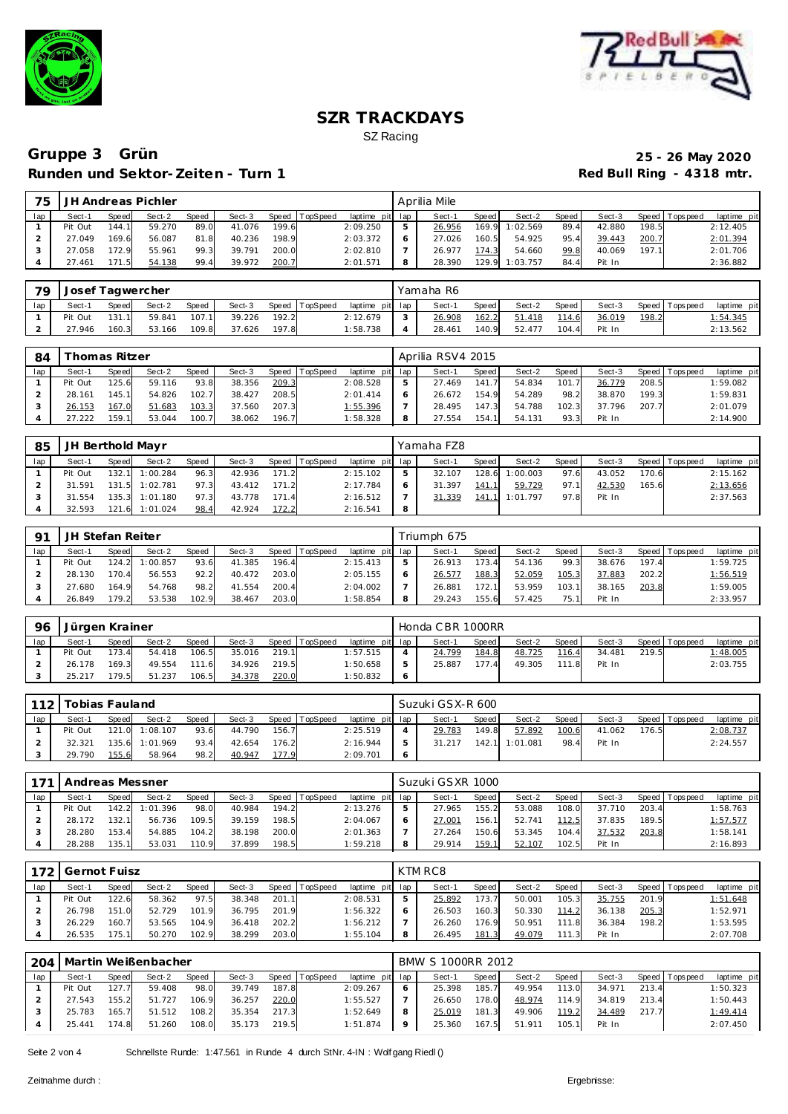



| 75  |         |       | JH Andreas Pichler |       |        |       |          |                 |   | Aprilia Mile |              |          |       |        |       |                 |             |
|-----|---------|-------|--------------------|-------|--------|-------|----------|-----------------|---|--------------|--------------|----------|-------|--------|-------|-----------------|-------------|
| lap | Sect-1  | Speed | Sect-2             | Speed | Sect-3 | Speed | TopSpeed | laptime pit lap |   | Sect-1       | <b>Speed</b> | Sect-2   | Speed | Sect-3 |       | Speed Tops peed | laptime pit |
|     | Pit Out | 144.1 | 59.270             | 89.0  | 41.076 | 199.6 |          | 2:09.250        |   | 26.956       | 169.9        | 1:02.569 | 89.4  | 42.880 | 198.5 |                 | 2:12.405    |
|     | 27.049  | 169.6 | 56.087             | 81.8  | 40.236 | 198.9 |          | 2:03.372        |   | 27.026       | 160.5        | 54.925   | 95.4  | 39.443 | 200.7 |                 | 2:01.394    |
|     | 27.058  | 172.9 | 55.961             | 99.3  | 39.791 | 200.0 |          | 2:02.810        |   | 26.977       | 174.3        | 54.660   | 99.8  | 40.069 | 197.1 |                 | 2:01.706    |
|     | 27.461  | 171.5 | 54.138             | 99.4  | 39.972 | 200.7 |          | 2:01.571        | 8 | 28.390       | 129.9        | 1:03.757 | 84.4  | Pit In |       |                 | 2:36.882    |

| 79  | Josef Tagwercher |              |        |              |        |       |                |                 |              | Yamaha R6 |       |        |       |        |       |                |                |
|-----|------------------|--------------|--------|--------------|--------|-------|----------------|-----------------|--------------|-----------|-------|--------|-------|--------|-------|----------------|----------------|
| lap | Sect-1           | <b>Speed</b> | Sect-2 | <b>Speed</b> | Sect-3 |       | Speed TopSpeed | laptime pit lap |              | Sect-1    | Speed | Sect-2 | Speed | Sect-3 |       | Speed Topspeed | laptime<br>pit |
|     | Pit Out          | 131.1        | 59.841 | 107.1        | 39.226 | 192.2 |                | 2:12.679        | $\mathbf{r}$ | 26.908    | 162.2 | 51.418 | 114.6 | 36.019 | 198.2 |                | :54.345        |
|     | 27.946           | 160.3        | 53.166 | 109.8        | 37.626 | 197.8 |                | 1:58.738        |              | 28.461    | 140.9 | 52.477 | 104.4 | Pit In |       |                | 2:13.562       |

| 84  |             | Thomas Ritzer |        |       |        |       |          |                 |   | Aprilia RSV4 2015 |              |        |       |        |       |                 |                |
|-----|-------------|---------------|--------|-------|--------|-------|----------|-----------------|---|-------------------|--------------|--------|-------|--------|-------|-----------------|----------------|
| lap | Sect-1      | Speed         | Sect-2 | Speed | Sect-3 | Speed | TopSpeed | laptime pit lap |   | Sect-1            | <b>Speed</b> | Sect-2 | Speed | Sect-3 |       | Speed Tops peed | laptime<br>pit |
|     | Pit Out     | 125.6         | 59.116 | 93.8  | 38.356 | 209.3 |          | 2:08.528        | ь | 27.469            | 141          | 54.834 | 101.7 | 36.779 | 208.5 |                 | 1:59.082       |
|     | 28.161      | 145.1         | 54.826 | 102.7 | 38.427 | 208.5 |          | 2:01.414        |   | 26.672            | 154.9        | 54.289 | 98.2  | 38.870 | 199.3 |                 | 1:59.831       |
|     | -153<br>26. | 167.0         | 51.683 | 103.3 | 37.560 | 207.3 |          | <u>1:55.396</u> |   | 28.495            | 147.3        | 54.788 | 102.3 | 37.796 | 207.7 |                 | 2:01.079       |
|     | 27.222      | 159.1         | 53.044 | 100.7 | 38.062 | 196.7 |          | 1:58.328        | 8 | 27.554            | 154.1        | 54.131 | 93.3  | Pit In |       |                 | 2:14.900       |

| 85  | JH Berthold Mayr |       |                |       |        |       |          |                 |   | Yamaha FZ8 |       |          |       |        |       |                 |             |
|-----|------------------|-------|----------------|-------|--------|-------|----------|-----------------|---|------------|-------|----------|-------|--------|-------|-----------------|-------------|
| lap | Sect-1           | Speed | Sect-2         | Speed | Sect-3 | Speed | TopSpeed | laptime pit lap |   | Sect-1     | Speed | Sect-2   | Speed | Sect-3 |       | Speed Tops peed | laptime pit |
|     | Pit Out          | 132.1 | 1:00.284       | 96.3  | 42.936 | 171.2 |          | 2:15.102        |   | 32.107     | 128.6 | 1:00.003 | 97.6  | 43.052 | 170.6 |                 | 2:15.162    |
|     | 31.591           |       | 131.5 1:02.781 | 97.3  | 43.412 | 171.2 |          | 2:17.784        |   | 31.397     | 141.1 | 59.729   | 97.1  | 42.530 | 165.6 |                 | 2:13.656    |
|     | 31.554           |       | 135.3 1:01.180 | 97.3  | 43.778 | 171.4 |          | 2:16.512        |   | 31.339     | 141.1 | 1:01.797 | 97.8  | Pit In |       |                 | 2:37.563    |
|     | 32.593           |       | 121.6 1:01.024 | 98.4  | 42.924 | 172.2 |          | 2:16.541        | 8 |            |       |          |       |        |       |                 |             |

| Q <sub>1</sub> | JH Stefan Reiter |              |          |       |        |       |                  |                 |   | Friumph 675 |       |        |       |        |       |                 |             |
|----------------|------------------|--------------|----------|-------|--------|-------|------------------|-----------------|---|-------------|-------|--------|-------|--------|-------|-----------------|-------------|
| lap            | Sect-1           | <b>Speed</b> | Sect-2   | Speed | Sect-3 |       | Speed   TopSpeed | laptime pit lap |   | Sect-1      | Speed | Sect-2 | Speed | Sect-3 |       | Speed Tops peed | laptime pit |
|                | Pit Out          | 124.2        | 1:00.857 | 93.6  | 41.385 | 196.4 |                  | 2:15.413        |   | 26.913      | 173.4 | 54.136 | 99.3  | 38.676 | 197.4 |                 | 1:59.725    |
|                | 28.130           | 170.4        | 56.553   | 92.2  | 40.472 | 203.0 |                  | 2:05.155        |   | 26.577      | 188.3 | 52.059 | 105.3 | 37.883 | 202.2 |                 | 1:56.519    |
|                | 27.680           | 164.9        | 54.768   | 98.2  | 41.554 | 200.4 |                  | 2:04.002        |   | 26.881      | 172.1 | 53.959 | 103.1 | 38.165 | 203.8 |                 | 1:59.005    |
|                | 26.849           | 179.2        | 53.538   | 102.9 | 38.467 | 203.0 |                  | 1:58.854        | 8 | 29.243      | 155.6 | 57.425 | 75.1  | Pit In |       |                 | 2:33.957    |

| 96  | Jürgen Krainer |              |        |              |        |       |          |                 | Honda CBR 1000RR |         |        |            |        |       |                 |                 |
|-----|----------------|--------------|--------|--------------|--------|-------|----------|-----------------|------------------|---------|--------|------------|--------|-------|-----------------|-----------------|
| lap | Sect-1         | <b>Speed</b> | Sect-2 | <b>Speed</b> | Sect-3 | Speed | TopSpeed | laptime pit lap | Sect-1           | Speed I | Sect-2 | Speed      | Sect-3 |       | Speed Tops peed | laptime pit     |
|     | Pit Out        | 173.4        | 54.418 | 106.5        | 35.016 | 219.1 |          | 1:57.515        | 24.799           | 184.8   | 48.725 | 116.4      | 34.481 | 219.5 |                 | <u>1:48.005</u> |
|     | 26.178         | 169.3        | 49.554 | 111.6        | 34.926 | 219.5 |          | :50.658         | 25.887           | 177.4   | 49.305 | 111<br>.81 | Pit In |       |                 | 2:03.755        |
|     | 25.217         | 179.5        | 51.237 | 106.5        | 34.378 | 220.0 |          | : 50.832        |                  |         |        |            |        |       |                 |                 |

| 112 | Tobias Fauland |       |          |       |        |       |          |                 |   | Suzuki GSX-R 600 |         |          |       |        |       |                 |             |
|-----|----------------|-------|----------|-------|--------|-------|----------|-----------------|---|------------------|---------|----------|-------|--------|-------|-----------------|-------------|
| lap | Sect-1         | Speed | Sect-2   | Speed | Sect-3 | Speed | TopSpeed | laptime pit lap |   | Sect-1           | Speed I | Sect-2   | Speed | Sect-3 |       | Speed Tops peed | laptime pit |
|     | Pit Out        | 121.0 | 1:08.107 | 93.6  | 44.790 | 156.7 |          | 2:25.519        | 4 | 29.783           | 149.8   | 57.892   | 100.6 | 41.062 | 176.5 |                 | 2:08.737    |
|     | 32.321         | 135.6 | 1:01.969 | 93.4  | 42.654 | 176.2 |          | 2:16.944        |   | 31.217           | 142.1   | 1:01.081 | 98.4  | Pit In |       |                 | 2:24.557    |
|     | 29.790         | 155.6 | 58.964   | 98.2  | 40.947 | 177.9 |          | 2:09.701        |   |                  |         |          |       |        |       |                 |             |

| 171 | Andreas Messner |       |          |       |        |       |                |             |     | Suzuki GSXR 1000 |              |        |       |        |       |                 |             |
|-----|-----------------|-------|----------|-------|--------|-------|----------------|-------------|-----|------------------|--------------|--------|-------|--------|-------|-----------------|-------------|
| lap | Sect-1          | Speed | Sect-2   | Speed | Sect-3 |       | Speed TopSpeed | laptime pit | lap | Sect-1           | <b>Speed</b> | Sect-2 | Speed | Sect-3 |       | Speed Tops peed | laptime pit |
|     | Pit Out         | 142.2 | 1:01.396 | 98.0  | 40.984 | 194.2 |                | 2:13.276    | 5   | 27.965           | 155.2        | 53.088 | 108.0 | 37.710 | 203.4 |                 | 1:58.763    |
|     | 28.172          | 132.1 | 56.736   | 109.5 | 39.159 | 198.5 |                | 2:04.067    | 6   | 27.001           | 156.1        | 52.741 | 112.5 | 37.835 | 189.5 |                 | 1:57.577    |
|     | 28.280          | 153.4 | 54.885   | 104.2 | 38.198 | 200.0 |                | 2:01.363    |     | 27.264           | 150.6        | 53.345 | 104.4 | 37.532 | 203.8 |                 | 1:58.141    |
|     | 28.288          | 135.1 | 53.031   | 110.9 | 37.899 | 198.5 |                | 1:59.218    | 8   | 29.914           | 159.1        | 52.107 | 102.5 | Pit In |       |                 | 2:16.893    |

| 172 | l Gernot Fuisz |              |        |              |        |       |          |             |     | KTM RC8 |         |        |           |        |       |                 |             |
|-----|----------------|--------------|--------|--------------|--------|-------|----------|-------------|-----|---------|---------|--------|-----------|--------|-------|-----------------|-------------|
| lap | Sect-1         | <b>Speed</b> | Sect-2 | <b>Speed</b> | Sect-3 | Speed | TopSpeed | laptime pit | lap | Sect-1  | Speed I | Sect-2 | Speed     | Sect-3 |       | Speed Tops peed | laptime pit |
|     | Pit Out        | 122.6        | 58.362 | 97.5         | 38.348 | 201.1 |          | 2:08.531    | 5   | 25.892  | 173.7   | 50.001 | 105.3     | 35.755 | 201.9 |                 | 1:51.648    |
|     | 26.798         | 151.0        | 52.729 | 101.9        | 36.795 | 201.9 |          | 1:56.322    |     | 26.503  | 160.3   | 50.330 | 114.2     | 36.138 | 205.3 |                 | 1:52.971    |
|     | 26.229         | 160.7        | 53.565 | 104.9        | 36.418 | 202.2 |          | 1:56.212    |     | 26.260  | 176.9   | 50.951 | 111<br>.8 | 36.384 | 198.2 |                 | 1:53.595    |
|     | 26.535         | 175.1        | 50.270 | 102.9        | 38.299 | 203.0 |          | 1:55.104    |     | 26.495  | 181.3   | 49.079 | 111.3     | Pit In |       |                 | 2:07.708    |

| 204 |         |       | Martin Weißenbacher |       |        |       |                |                 | BMW S 1000RR 2012 |       |        |       |        |       |                   |             |
|-----|---------|-------|---------------------|-------|--------|-------|----------------|-----------------|-------------------|-------|--------|-------|--------|-------|-------------------|-------------|
| lap | Sect-1  | Speed | Sect-2              | Speed | Sect-3 |       | Speed TopSpeed | laptime pit lap | Sect-1            | Speed | Sect-2 | Speed | Sect-3 |       | Speed   Tops peed | laptime pit |
|     | Pit Out | 127.7 | 59.408              | 98.0  | 39.749 | 187.8 |                | 2:09.267        | 25.398            | 185.7 | 49.954 | 113.0 | 34.971 | 213.4 |                   | 1:50.323    |
|     | 27.543  | 155.2 | 51.727              | 106.9 | 36.257 | 220.0 |                | 1:55.527        | 26.650            | 178.0 | 48.974 | 114.9 | 34.819 | 213.4 |                   | 1:50.443    |
|     | 25.783  | 165.7 | 51.512              | 108.2 | 35.354 | 217.3 |                | 1:52.649        | 25.019            | 181.3 | 49.906 | 119.2 | 34.489 | 217.7 |                   | 1:49.414    |
|     | 25.441  | 174.8 | 51.260              | 108.0 | 35.173 | 219.5 |                | 1:51.874        | 25.360            | 167.5 | 51.911 | 105.1 | Pit In |       |                   | 2:07.450    |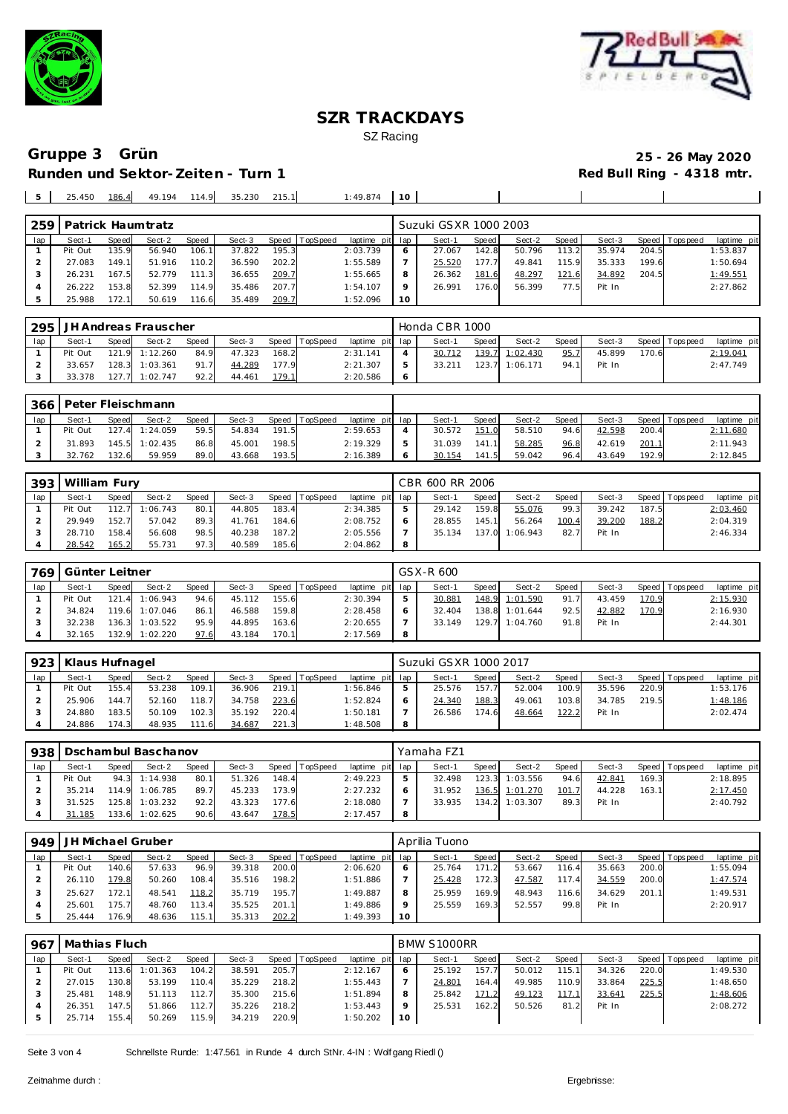



|  | 450، ر | 186.4 | 49.194 | 114Q | 35.230 | 215.1 | 40.874 | $\cap$ |  |  |
|--|--------|-------|--------|------|--------|-------|--------|--------|--|--|
|  |        |       |        |      |        |       |        |        |  |  |

| 259 |         |       | Patrick Haumtratz |       |        |       |          |                 |    | Suzuki GSXR 1000 2003 |       |        |       |        |       |                 |             |
|-----|---------|-------|-------------------|-------|--------|-------|----------|-----------------|----|-----------------------|-------|--------|-------|--------|-------|-----------------|-------------|
| lap | Sect-1  | Speed | Sect-2            | Speed | Sect-3 | Speed | TopSpeed | laptime pit lap |    | Sect-1                | Speed | Sect-2 | Speed | Sect-3 |       | Speed Tops peed | laptime pit |
|     | Pit Out | 135.9 | 56.940            | 106.1 | 37.822 | 195.3 |          | 2:03.739        | 6  | 27.067                | 142.8 | 50.796 | 113.2 | 35.974 | 204.5 |                 | 1:53.837    |
|     | 27.083  | 149.1 | 51.916            | 110.2 | 36.590 | 202.2 |          | 1:55.589        |    | 25.520                | 177.7 | 49.841 | 115.9 | 35.333 | 199.6 |                 | 1:50.694    |
|     | 26.231  | 167.5 | 52.779            | 111.3 | 36.655 | 209.7 |          | 1:55.665        | 8  | 26.362                | 181.6 | 48.297 | 121.6 | 34.892 | 204.5 |                 | 1:49.551    |
|     | 26.222  | 153.8 | 52.399            | 114.9 | 35.486 | 207.7 |          | 1:54.107        | Q  | 26.991                | 176.0 | 56.399 | 77.5  | Pit In |       |                 | 2:27.862    |
|     | 25.988  | 172.1 | 50.619            | 116.6 | 35.489 | 209.7 |          | 1:52.096        | 10 |                       |       |        |       |        |       |                 |             |

|     | 295   JH Andreas Frauscher |       |                |       |        |       |                |                 | Honda CBR 1000 |       |                |         |        |       |                |             |
|-----|----------------------------|-------|----------------|-------|--------|-------|----------------|-----------------|----------------|-------|----------------|---------|--------|-------|----------------|-------------|
| lap | Sect-1                     | Speed | Sect-2         | Speed | Sect-3 |       | Speed TopSpeed | laptime pit lap | Sect-1         | Speed | Sect-2         | Speed I | Sect-3 |       | Speed Topspeed | laptime pit |
|     | Pit Out                    |       | 121.9 1:12.260 | 84.9  | 47.323 | 168.2 |                | 2:31.141        | 30.712         |       | 139.7 1:02.430 | 95.7    | 45.899 | 170.6 |                | 2:19.041    |
|     | 33.657                     |       | 128.3 1:03.361 | 91.7  | 44.289 | 177.9 |                | 2:21.307        | 33.211         | 123.7 | 1:06.171       | 94.1    | Pit In |       |                | 2:47.749    |
|     | 33.378                     |       | 127.7 1:02.747 | 92.2  | 44.461 | 179.1 |                | 2:20.586        |                |       |                |         |        |       |                |             |

|     | 366   Peter Fleischmann |              |                |       |        |       |          |                 |   |        |              |        |       |        |       |                   |                |
|-----|-------------------------|--------------|----------------|-------|--------|-------|----------|-----------------|---|--------|--------------|--------|-------|--------|-------|-------------------|----------------|
| lap | Sect-1                  | <b>Speed</b> | Sect-2         | Speed | Sect-3 | Speed | TopSpeed | laptime pit lap |   | Sect-1 | <b>Speed</b> | Sect-2 | Speed | Sect-3 |       | Speed   Tops peed | laptime<br>pit |
|     | Pit Out                 |              | 127.4 1:24.059 | 59.5  | 54.834 | 191.5 |          | 2:59.653        |   | 30.572 | 151.6        | 58.510 | 94.6  | 42.598 | 200.4 |                   | 2:11.680       |
|     | 31.893                  |              | 145.5 1:02.435 | 86.8  | 45.001 | 198.5 |          | 2:19.329        |   | 31.039 | 141.1        | 58.285 | 96.8  | 42.619 | 201.1 |                   | 2:11.943       |
|     | 32.762                  | 132.6        | 59.959         | 89.0  | 43.668 | 193.5 |          | 2:16.389        | 6 | 30.154 | 141.5        | 59.042 | 96.4  | 43.649 | 192.9 |                   | 2:12.845       |

| 393 | William Fury |       |          |       |        |       |                |                 | CBR 600 RR 2006 |       |          |         |        |       |                 |             |
|-----|--------------|-------|----------|-------|--------|-------|----------------|-----------------|-----------------|-------|----------|---------|--------|-------|-----------------|-------------|
| lap | Sect-1       | Speed | Sect-2   | Speed | Sect-3 |       | Speed TopSpeed | laptime pit lap | Sect-1          | Speed | Sect-2   | Speed I | Sect-3 |       | Speed Tops peed | laptime pit |
|     | Pit Out      | 112.7 | 1:06.743 | 80.1  | 44.805 | 183.4 |                | 2:34.385        | 29.142          | 159.8 | 55.076   | 99.3    | 39.242 | 187.5 |                 | 2:03.460    |
|     | 29.949       | 152.7 | 57.042   | 89.3  | 41.761 | 184.6 |                | 2:08.752        | 28.855          | 145.1 | 56.264   | 100.4   | 39.200 | 188.2 |                 | 2:04.319    |
|     | 28.710       | 158.4 | 56.608   | 98.5  | 40.238 | 187.2 |                | 2:05.556        | 35.134          | 137.0 | 1:06.943 | 82.7    | Pit In |       |                 | 2:46.334    |
|     | 28.542       | 165.2 | 55.731   | 97.3  | 40.589 | 185.6 |                | 2:04.862        |                 |       |          |         |        |       |                 |             |

| 769 | Günter Leitner |       |          |       |        |       |                |                 |   | $GSX-R$ 600 |              |                |       |        |       |                 |             |
|-----|----------------|-------|----------|-------|--------|-------|----------------|-----------------|---|-------------|--------------|----------------|-------|--------|-------|-----------------|-------------|
| lap | Sect-1         | Speed | Sect-2   | Speed | Sect-3 |       | Speed TopSpeed | laptime pit lap |   | Sect-1      | <b>Speed</b> | Sect-2         | Speed | Sect-3 |       | Speed Tops peed | laptime pit |
|     | Pit Out        | 121.4 | 1:06.943 | 94.6  | 45.112 | 155.6 |                | 2:30.394        | ь | 30.881      |              | 148.9 1:01.590 | 91.7  | 43.459 | 170.9 |                 | 2:15.930    |
|     | 34.824         | 119.6 | 1:07.046 | 86.1  | 46.588 | 159.8 |                | 2:28.458        | 6 | 32.404      |              | 138.8 1:01.644 | 92.5  | 42.882 | 170.9 |                 | 2:16.930    |
|     | 32.238         | 136.3 | 1:03.522 | 95.9  | 44.895 | 163.6 |                | 2:20.655        |   | 33.149      |              | 129.7 1:04.760 | 91.8  | Pit In |       |                 | 2:44.301    |
|     | 32.165         | 132.9 | 1:02.220 | 97.6  | 43.184 | 170.1 |                | 2:17.569        | 8 |             |              |                |       |        |       |                 |             |

| 923 | Klaus Hufnagel |       |        |       |        |       |                |                 | Suzuki GSXR 1000 2017 |       |        |         |        |       |                 |             |
|-----|----------------|-------|--------|-------|--------|-------|----------------|-----------------|-----------------------|-------|--------|---------|--------|-------|-----------------|-------------|
| lap | Sect-1         | Speed | Sect-2 | Speed | Sect-3 |       | Speed TopSpeed | laptime pit lap | Sect-1                | Speed | Sect-2 | Speed I | Sect-3 |       | Speed Tops peed | laptime pit |
|     | Pit Out        | 155.4 | 53.238 | 109.1 | 36.906 | 219.1 |                | 1:56.846        | 25.576                | 157.7 | 52.004 | 100.9   | 35.596 | 220.9 |                 | 1:53.176    |
|     | 25.906         | 144.7 | 52.160 | 118.7 | 34.758 | 223.6 |                | 1:52.824        | 24.340                | 188.3 | 49.061 | 103.8   | 34.785 | 219.5 |                 | 1:48.186    |
|     | 24.880         | 183.5 | 50.109 | 102.3 | 35.192 | 220.4 |                | 1:50.181        | 26.586                | 174.6 | 48.664 | 122.2   | Pit In |       |                 | 2:02.474    |
|     | 24.886         | 174.3 | 48.935 | 111.6 | 34.687 | 221.3 |                | 1:48.508        |                       |       |        |         |        |       |                 |             |

|     |         |       | 938   Dschambul Baschanov |       |        |       |                |                 |   | Yamaha FZ1 |       |                |       |        |       |                 |             |
|-----|---------|-------|---------------------------|-------|--------|-------|----------------|-----------------|---|------------|-------|----------------|-------|--------|-------|-----------------|-------------|
| lap | Sect-1  | Speed | Sect-2                    | Speed | Sect-3 |       | Speed TopSpeed | laptime pit lap |   | Sect-1     | Speed | Sect-2         | Speed | Sect-3 |       | Speed Tops peed | laptime pit |
|     | Pit Out |       | 94.3 1:14.938             | 80.1  | 51.326 | 148.4 |                | 2:49.223        |   | 32.498     | 123.3 | 1:03.556       | 94.6  | 42.841 | 169.3 |                 | 2:18.895    |
|     | 35 214  | 114.9 | 1:06.785                  | 89.7  | 45.233 | 173.9 |                | 2:27.232        |   | 31.952     |       | 136.5 1:01.270 | 101.7 | 44.228 | 163.1 |                 | 2:17.450    |
|     | 31.525  | 125.8 | 1:03.232                  | 92.2  | 43.323 | 177.6 |                | 2:18.080        |   | 33.935     |       | 134.2 1:03.307 | 89.3  | Pit In |       |                 | 2:40.792    |
|     | .185    | 133.6 | 1:02.625                  | 90.6  | 43.647 | 178.5 |                | 2:17.457        | 8 |            |       |                |       |        |       |                 |             |

|     | 949 JH Michael Gruber |       |        |       |        |       |          |                 |    | Aprilia Tuono |       |        |       |        |       |                 |             |
|-----|-----------------------|-------|--------|-------|--------|-------|----------|-----------------|----|---------------|-------|--------|-------|--------|-------|-----------------|-------------|
| lap | Sect-1                | Speed | Sect-2 | Speed | Sect-3 | Speed | TopSpeed | laptime pit lap |    | Sect-1        | Speed | Sect-2 | Speed | Sect-3 |       | Speed Tops peed | laptime pit |
|     | Pit Out               | 140.6 | 57.633 | 96.9  | 39.318 | 200.0 |          | 2:06.620        |    | 25.764        | 171.2 | 53.667 | 116.4 | 35.663 | 200.0 |                 | 1:55.094    |
|     | 26.110                | 179.8 | 50.260 | 108.4 | 35.516 | 198.2 |          | 1:51.886        |    | 25.428        | 172.3 | 47.587 | 117.4 | 34.559 | 200.0 |                 | 1:47.574    |
|     | 25.627                | 172.1 | 48.541 | 118.2 | 35.719 | 195.7 |          | 1:49.887        |    | 25.959        | 169.9 | 48.943 | 116.6 | 34.629 | 201.1 |                 | 1:49.531    |
|     | 25.601                | 175.7 | 48.760 | 113.4 | 35.525 | 201.1 |          | 1:49.886        |    | 25.559        | 169.3 | 52.557 | 99.8  | Pit In |       |                 | 2:20.917    |
|     | 25.444                | 176.9 | 48.636 | 115.1 | 35.313 | 202.2 |          | 1:49.393        | 10 |               |       |        |       |        |       |                 |             |

| 967 | Mathias Fluch |       |          |       |        |       |                |                 |         | BMW S1000RR |         |        |       |        |       |                 |             |
|-----|---------------|-------|----------|-------|--------|-------|----------------|-----------------|---------|-------------|---------|--------|-------|--------|-------|-----------------|-------------|
| lap | Sect-1        | Speed | Sect-2   | Speed | Sect-3 |       | Speed TopSpeed | laptime pit lap |         | Sect-1      | Speed I | Sect-2 | Speed | Sect-3 |       | Speed Tops peed | laptime pit |
|     | Pit Out       | 113.6 | 1:01.363 | 104.2 | 38.591 | 205.7 |                | 2:12.167        |         | 25.192      | 157.7   | 50.012 | 115.1 | 34.326 | 220.0 |                 | 1:49.530    |
|     | 27.015        | 130.8 | 53.199   | 110.4 | 35.229 | 218.2 |                | 1:55.443        |         | 24.801      | 164.4   | 49.985 | 110.9 | 33.864 | 225.5 |                 | 1:48.650    |
|     | 25.481        | 148.9 | 51.113   | 112.7 | 35.300 | 215.6 |                | 1:51.894        | 8       | 25.842      | 171.2   | 49.123 | 117.1 | 33.641 | 225.5 |                 | 1:48.606    |
|     | 26.351        | 147.5 | 51.866   | 112.7 | 35.226 | 218.2 |                | 1:53.443        | $\circ$ | 25.531      | 162.2   | 50.526 | 81.2  | Pit In |       |                 | 2:08.272    |
|     | 25.714        | 155.4 | 50.269   | 115.9 | 34.219 | 220.9 |                | 1:50.202        | 10      |             |         |        |       |        |       |                 |             |